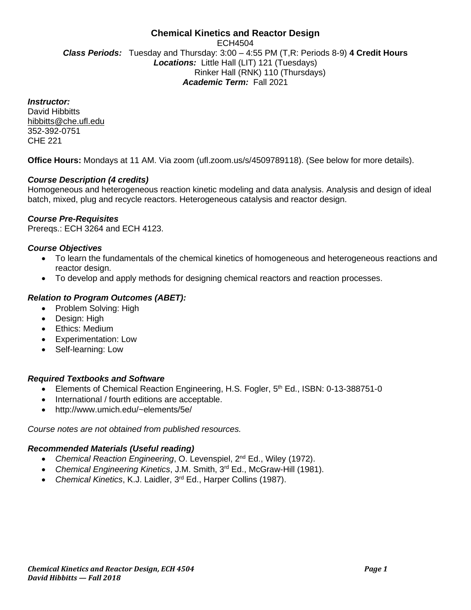# **Chemical Kinetics and Reactor Design** ECH4504 *Class Periods:* Tuesday and Thursday: 3:00 – 4:55 PM (T,R: Periods 8-9) **4 Credit Hours** *Locations:* Little Hall (LIT) 121 (Tuesdays) Rinker Hall (RNK) 110 (Thursdays) *Academic Term:* Fall 2021

*Instructor:*

David Hibbitts hibbitts@che.ufl.edu 352-392-0751 CHE 221

**Office Hours:** Mondays at 11 AM. Via zoom (ufl.zoom.us/s/4509789118). (See below for more details).

# *Course Description (4 credits)*

Homogeneous and heterogeneous reaction kinetic modeling and data analysis. Analysis and design of ideal batch, mixed, plug and recycle reactors. Heterogeneous catalysis and reactor design.

#### *Course Pre-Requisites*

Prereqs.: ECH 3264 and ECH 4123.

#### *Course Objectives*

- To learn the fundamentals of the chemical kinetics of homogeneous and heterogeneous reactions and reactor design.
- To develop and apply methods for designing chemical reactors and reaction processes.

# *Relation to Program Outcomes (ABET):*

- Problem Solving: High
- Design: High
- Ethics: Medium
- Experimentation: Low
- Self-learning: Low

#### *Required Textbooks and Software*

- Elements of Chemical Reaction Engineering, H.S. Fogler, 5<sup>th</sup> Ed., ISBN: 0-13-388751-0
- International / fourth editions are acceptable.
- http://www.umich.edu/~elements/5e/

*Course notes are not obtained from published resources.*

#### *Recommended Materials (Useful reading)*

- *Chemical Reaction Engineering*, O. Levenspiel, 2<sup>nd</sup> Ed., Wiley (1972).
- *Chemical Engineering Kinetics*, J.M. Smith, 3rd Ed., McGraw-Hill (1981).
- *Chemical Kinetics*, K.J. Laidler, 3rd Ed., Harper Collins (1987).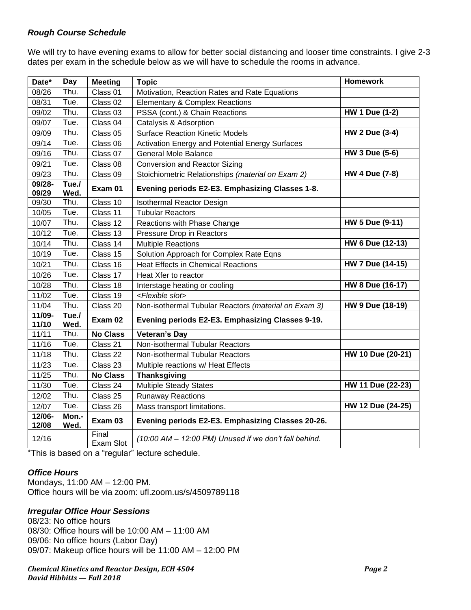# *Rough Course Schedule*

We will try to have evening exams to allow for better social distancing and looser time constraints. I give 2-3 dates per exam in the schedule below as we will have to schedule the rooms in advance.

| Date*           | Day           | <b>Meeting</b>     | <b>Topic</b>                                          | <b>Homework</b>       |
|-----------------|---------------|--------------------|-------------------------------------------------------|-----------------------|
| 08/26           | Thu.          | Class 01           | Motivation, Reaction Rates and Rate Equations         |                       |
| 08/31           | Tue.          | Class 02           | <b>Elementary &amp; Complex Reactions</b>             |                       |
| 09/02           | Thu.          | Class 03           | PSSA (cont.) & Chain Reactions                        | <b>HW 1 Due (1-2)</b> |
| 09/07           | Tue.          | Class 04           | Catalysis & Adsorption                                |                       |
| 09/09           | Thu.          | Class 05           | <b>Surface Reaction Kinetic Models</b>                | <b>HW 2 Due (3-4)</b> |
| 09/14           | Tue.          | Class 06           | Activation Energy and Potential Energy Surfaces       |                       |
| 09/16           | Thu.          | Class 07           | <b>General Mole Balance</b>                           | <b>HW 3 Due (5-6)</b> |
| 09/21           | Tue.          | Class 08           | <b>Conversion and Reactor Sizing</b>                  |                       |
| 09/23           | Thu.          | Class 09           | Stoichiometric Relationships (material on Exam 2)     | <b>HW 4 Due (7-8)</b> |
| 09/28-<br>09/29 | Tue./<br>Wed. | Exam 01            | Evening periods E2-E3. Emphasizing Classes 1-8.       |                       |
| 09/30           | Thu.          | Class 10           | <b>Isothermal Reactor Design</b>                      |                       |
| 10/05           | Tue.          | Class 11           | <b>Tubular Reactors</b>                               |                       |
| 10/07           | Thu.          | Class 12           | Reactions with Phase Change                           | HW 5 Due (9-11)       |
| 10/12           | Tue.          | Class 13           | Pressure Drop in Reactors                             |                       |
| 10/14           | Thu.          | Class 14           | <b>Multiple Reactions</b>                             | HW 6 Due (12-13)      |
| 10/19           | Tue.          | Class 15           | Solution Approach for Complex Rate Eqns               |                       |
| 10/21           | Thu.          | Class 16           | <b>Heat Effects in Chemical Reactions</b>             | HW 7 Due (14-15)      |
| 10/26           | Tue.          | Class 17           | Heat Xfer to reactor                                  |                       |
| 10/28           | Thu.          | Class 18           | Interstage heating or cooling                         | HW 8 Due (16-17)      |
| 11/02           | Tue.          | Class 19           | <flexible slot=""></flexible>                         |                       |
| 11/04           | Thu.          | Class 20           | Non-isothermal Tubular Reactors (material on Exam 3)  | HW 9 Due (18-19)      |
| 11/09-<br>11/10 | Tue./<br>Wed. | Exam 02            | Evening periods E2-E3. Emphasizing Classes 9-19.      |                       |
| 11/11           | Thu.          | <b>No Class</b>    | <b>Veteran's Day</b>                                  |                       |
| 11/16           | Tue.          | Class 21           | Non-isothermal Tubular Reactors                       |                       |
| 11/18           | Thu.          | Class 22           | Non-isothermal Tubular Reactors                       | HW 10 Due (20-21)     |
| 11/23           | Tue.          | Class 23           | Multiple reactions w/ Heat Effects                    |                       |
| 11/25           | Thu.          | <b>No Class</b>    | <b>Thanksgiving</b>                                   |                       |
| 11/30           | Tue.          | Class 24           | <b>Multiple Steady States</b>                         | HW 11 Due (22-23)     |
| 12/02           | Thu.          | Class 25           | <b>Runaway Reactions</b>                              |                       |
| 12/07           | Tue.          | Class 26           | Mass transport limitations.                           | HW 12 Due (24-25)     |
| 12/06-<br>12/08 | Mon.-<br>Wed. | Exam 03            | Evening periods E2-E3. Emphasizing Classes 20-26.     |                       |
| 12/16           |               | Final<br>Exam Slot | (10:00 AM - 12:00 PM) Unused if we don't fall behind. |                       |

\*This is based on a "regular" lecture schedule.

# *Office Hours*

Mondays, 11:00 AM – 12:00 PM. Office hours will be via zoom: ufl.zoom.us/s/4509789118

# *Irregular Office Hour Sessions*

08/23: No office hours 08/30: Office hours will be 10:00 AM – 11:00 AM 09/06: No office hours (Labor Day) 09/07: Makeup office hours will be 11:00 AM – 12:00 PM

#### *Chemical Kinetics and Reactor Design, ECH 4504 Page 2 David Hibbitts — Fall 2018*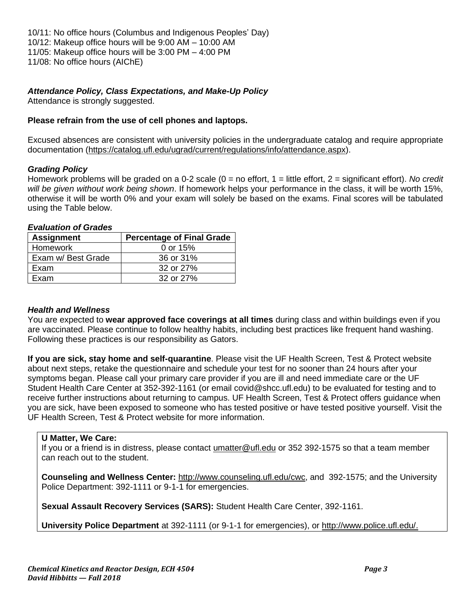10/11: No office hours (Columbus and Indigenous Peoples' Day) 10/12: Makeup office hours will be 9:00 AM – 10:00 AM 11/05: Makeup office hours will be 3:00 PM – 4:00 PM 11/08: No office hours (AIChE)

# *Attendance Policy, Class Expectations, and Make-Up Policy*

Attendance is strongly suggested.

# **Please refrain from the use of cell phones and laptops.**

Excused absences are consistent with university policies in the undergraduate catalog and require appropriate documentation [\(https://catalog.ufl.edu/ugrad/current/regulations/info/attendance.aspx\)](https://catalog.ufl.edu/ugrad/current/regulations/info/attendance.aspx).

#### *Grading Policy*

Homework problems will be graded on a 0-2 scale (0 = no effort, 1 = little effort, 2 = significant effort). *No credit will be given without work being shown*. If homework helps your performance in the class, it will be worth 15%, otherwise it will be worth 0% and your exam will solely be based on the exams. Final scores will be tabulated using the Table below.

#### *Evaluation of Grades* **Assignment Percentage of Final Grade** Homework and done of 15% Exam w/ Best Grade | 36 or 31% Exam 32 or 27% Exam 32 or 27%

#### *Health and Wellness*

You are expected to **wear approved face coverings at all times** during class and within buildings even if you are vaccinated. Please continue to follow healthy habits, including best practices like frequent hand washing. Following these practices is our responsibility as Gators.

**If you are sick, stay home and self-quarantine**. Please visit the UF Health Screen, Test & Protect website about next steps, retake the questionnaire and schedule your test for no sooner than 24 hours after your symptoms began. Please call your primary care provider if you are ill and need immediate care or the UF Student Health Care Center at 352-392-1161 (or email covid@shcc.ufl.edu) to be evaluated for testing and to receive further instructions about returning to campus. UF Health Screen, Test & Protect offers guidance when you are sick, have been exposed to someone who has tested positive or have tested positive yourself. Visit the UF Health Screen, Test & Protect website for more information.

# **U Matter, We Care:**

If you or a friend is in distress, please contact umatter@ufl.edu or 352 392-1575 so that a team member can reach out to the student.

**Counseling and Wellness Center:** [http://www.counseling.ufl.edu/cwc,](http://www.counseling.ufl.edu/cwc) and 392-1575; and the University Police Department: 392-1111 or 9-1-1 for emergencies.

**Sexual Assault Recovery Services (SARS):** Student Health Care Center, 392-1161.

**University Police Department** at 392-1111 (or 9-1-1 for emergencies), or [http://www.police.ufl.edu/.](http://www.police.ufl.edu/)